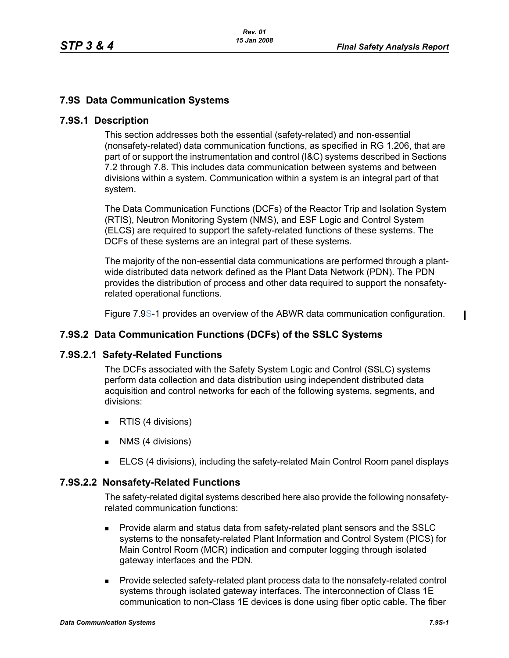# **7.9S Data Communication Systems**

### **7.9S.1 Description**

This section addresses both the essential (safety-related) and non-essential (nonsafety-related) data communication functions, as specified in RG 1.206, that are part of or support the instrumentation and control (I&C) systems described in Sections 7.2 through 7.8. This includes data communication between systems and between divisions within a system. Communication within a system is an integral part of that system.

The Data Communication Functions (DCFs) of the Reactor Trip and Isolation System (RTIS), Neutron Monitoring System (NMS), and ESF Logic and Control System (ELCS) are required to support the safety-related functions of these systems. The DCFs of these systems are an integral part of these systems.

The majority of the non-essential data communications are performed through a plantwide distributed data network defined as the Plant Data Network (PDN). The PDN provides the distribution of process and other data required to support the nonsafetyrelated operational functions.

Figure 7.9S-1 provides an overview of the ABWR data communication configuration.

## **7.9S.2 Data Communication Functions (DCFs) of the SSLC Systems**

#### **7.9S.2.1 Safety-Related Functions**

The DCFs associated with the Safety System Logic and Control (SSLC) systems perform data collection and data distribution using independent distributed data acquisition and control networks for each of the following systems, segments, and divisions:

- **RTIS (4 divisions)**
- **NMS** (4 divisions)
- **ELCS (4 divisions), including the safety-related Main Control Room panel displays**

#### **7.9S.2.2 Nonsafety-Related Functions**

The safety-related digital systems described here also provide the following nonsafetyrelated communication functions:

- Provide alarm and status data from safety-related plant sensors and the SSLC systems to the nonsafety-related Plant Information and Control System (PICS) for Main Control Room (MCR) indication and computer logging through isolated gateway interfaces and the PDN.
- **Provide selected safety-related plant process data to the nonsafety-related control** systems through isolated gateway interfaces. The interconnection of Class 1E communication to non-Class 1E devices is done using fiber optic cable. The fiber

 $\blacksquare$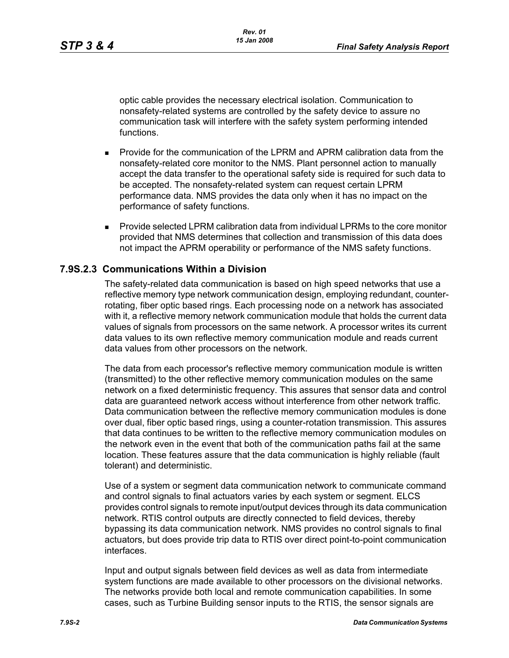optic cable provides the necessary electrical isolation. Communication to nonsafety-related systems are controlled by the safety device to assure no communication task will interfere with the safety system performing intended functions.

- Provide for the communication of the LPRM and APRM calibration data from the nonsafety-related core monitor to the NMS. Plant personnel action to manually accept the data transfer to the operational safety side is required for such data to be accepted. The nonsafety-related system can request certain LPRM performance data. NMS provides the data only when it has no impact on the performance of safety functions.
- Provide selected LPRM calibration data from individual LPRMs to the core monitor provided that NMS determines that collection and transmission of this data does not impact the APRM operability or performance of the NMS safety functions.

## **7.9S.2.3 Communications Within a Division**

The safety-related data communication is based on high speed networks that use a reflective memory type network communication design, employing redundant, counterrotating, fiber optic based rings. Each processing node on a network has associated with it, a reflective memory network communication module that holds the current data values of signals from processors on the same network. A processor writes its current data values to its own reflective memory communication module and reads current data values from other processors on the network.

The data from each processor's reflective memory communication module is written (transmitted) to the other reflective memory communication modules on the same network on a fixed deterministic frequency. This assures that sensor data and control data are guaranteed network access without interference from other network traffic. Data communication between the reflective memory communication modules is done over dual, fiber optic based rings, using a counter-rotation transmission. This assures that data continues to be written to the reflective memory communication modules on the network even in the event that both of the communication paths fail at the same location. These features assure that the data communication is highly reliable (fault tolerant) and deterministic.

Use of a system or segment data communication network to communicate command and control signals to final actuators varies by each system or segment. ELCS provides control signals to remote input/output devices through its data communication network. RTIS control outputs are directly connected to field devices, thereby bypassing its data communication network. NMS provides no control signals to final actuators, but does provide trip data to RTIS over direct point-to-point communication interfaces.

Input and output signals between field devices as well as data from intermediate system functions are made available to other processors on the divisional networks. The networks provide both local and remote communication capabilities. In some cases, such as Turbine Building sensor inputs to the RTIS, the sensor signals are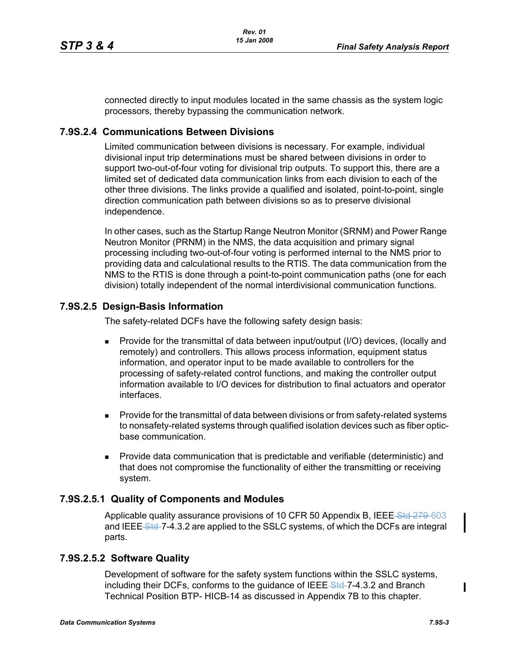connected directly to input modules located in the same chassis as the system logic processors, thereby bypassing the communication network.

## **7.9S.2.4 Communications Between Divisions**

Limited communication between divisions is necessary. For example, individual divisional input trip determinations must be shared between divisions in order to support two-out-of-four voting for divisional trip outputs. To support this, there are a limited set of dedicated data communication links from each division to each of the other three divisions. The links provide a qualified and isolated, point-to-point, single direction communication path between divisions so as to preserve divisional independence.

In other cases, such as the Startup Range Neutron Monitor (SRNM) and Power Range Neutron Monitor (PRNM) in the NMS, the data acquisition and primary signal processing including two-out-of-four voting is performed internal to the NMS prior to providing data and calculational results to the RTIS. The data communication from the NMS to the RTIS is done through a point-to-point communication paths (one for each division) totally independent of the normal interdivisional communication functions.

## **7.9S.2.5 Design-Basis Information**

The safety-related DCFs have the following safety design basis:

- **Provide for the transmittal of data between input/output (I/O) devices, (locally and** remotely) and controllers. This allows process information, equipment status information, and operator input to be made available to controllers for the processing of safety-related control functions, and making the controller output information available to I/O devices for distribution to final actuators and operator interfaces.
- **Provide for the transmittal of data between divisions or from safety-related systems** to nonsafety-related systems through qualified isolation devices such as fiber opticbase communication.
- **Provide data communication that is predictable and verifiable (deterministic) and** that does not compromise the functionality of either the transmitting or receiving system.

#### **7.9S.2.5.1 Quality of Components and Modules**

Applicable quality assurance provisions of 10 CFR 50 Appendix B, IEEE Std 279-603 and IEEE Std-7-4.3.2 are applied to the SSLC systems, of which the DCFs are integral parts.

## **7.9S.2.5.2 Software Quality**

Development of software for the safety system functions within the SSLC systems, including their DCFs, conforms to the guidance of IEEE Std-7-4.3.2 and Branch Technical Position BTP- HICB-14 as discussed in Appendix 7B to this chapter.

 $\mathbf I$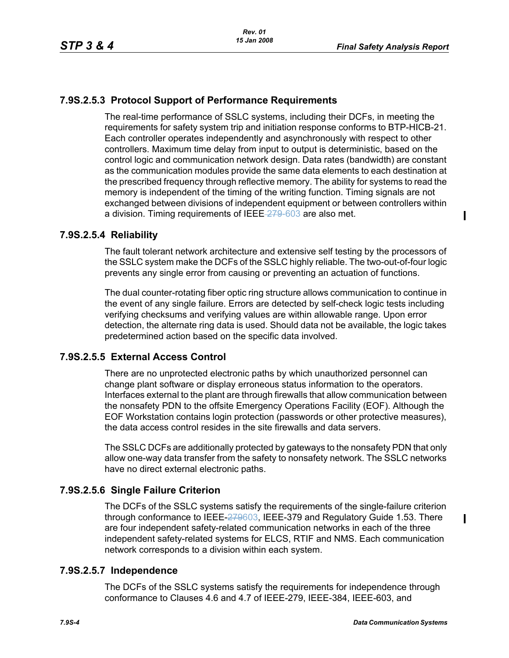# **7.9S.2.5.3 Protocol Support of Performance Requirements**

The real-time performance of SSLC systems, including their DCFs, in meeting the requirements for safety system trip and initiation response conforms to BTP-HICB-21. Each controller operates independently and asynchronously with respect to other controllers. Maximum time delay from input to output is deterministic, based on the control logic and communication network design. Data rates (bandwidth) are constant as the communication modules provide the same data elements to each destination at the prescribed frequency through reflective memory. The ability for systems to read the memory is independent of the timing of the writing function. Timing signals are not exchanged between divisions of independent equipment or between controllers within a division. Timing requirements of IEEE 279-603 are also met.

## **7.9S.2.5.4 Reliability**

The fault tolerant network architecture and extensive self testing by the processors of the SSLC system make the DCFs of the SSLC highly reliable. The two-out-of-four logic prevents any single error from causing or preventing an actuation of functions.

The dual counter-rotating fiber optic ring structure allows communication to continue in the event of any single failure. Errors are detected by self-check logic tests including verifying checksums and verifying values are within allowable range. Upon error detection, the alternate ring data is used. Should data not be available, the logic takes predetermined action based on the specific data involved.

## **7.9S.2.5.5 External Access Control**

There are no unprotected electronic paths by which unauthorized personnel can change plant software or display erroneous status information to the operators. Interfaces external to the plant are through firewalls that allow communication between the nonsafety PDN to the offsite Emergency Operations Facility (EOF). Although the EOF Workstation contains login protection (passwords or other protective measures), the data access control resides in the site firewalls and data servers.

The SSLC DCFs are additionally protected by gateways to the nonsafety PDN that only allow one-way data transfer from the safety to nonsafety network. The SSLC networks have no direct external electronic paths.

## **7.9S.2.5.6 Single Failure Criterion**

The DCFs of the SSLC systems satisfy the requirements of the single-failure criterion through conformance to IEEE-279603, IEEE-379 and Regulatory Guide 1.53. There are four independent safety-related communication networks in each of the three independent safety-related systems for ELCS, RTIF and NMS. Each communication network corresponds to a division within each system.

#### **7.9S.2.5.7 Independence**

The DCFs of the SSLC systems satisfy the requirements for independence through conformance to Clauses 4.6 and 4.7 of IEEE-279, IEEE-384, IEEE-603, and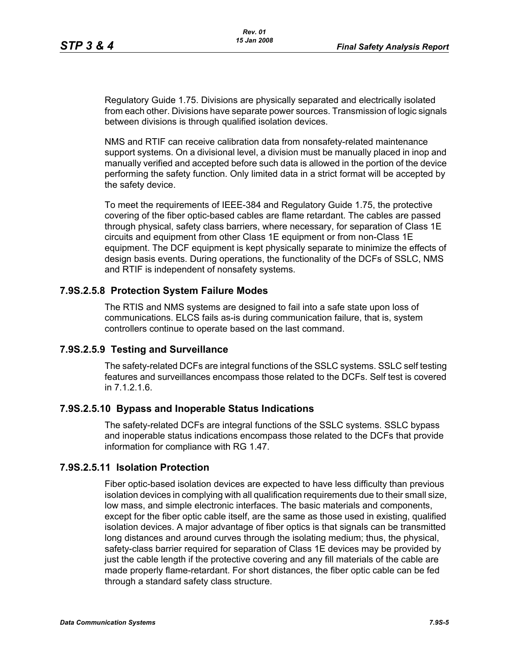Regulatory Guide 1.75. Divisions are physically separated and electrically isolated from each other. Divisions have separate power sources. Transmission of logic signals between divisions is through qualified isolation devices.

NMS and RTIF can receive calibration data from nonsafety-related maintenance support systems. On a divisional level, a division must be manually placed in inop and manually verified and accepted before such data is allowed in the portion of the device performing the safety function. Only limited data in a strict format will be accepted by the safety device.

To meet the requirements of IEEE-384 and Regulatory Guide 1.75, the protective covering of the fiber optic-based cables are flame retardant. The cables are passed through physical, safety class barriers, where necessary, for separation of Class 1E circuits and equipment from other Class 1E equipment or from non-Class 1E equipment. The DCF equipment is kept physically separate to minimize the effects of design basis events. During operations, the functionality of the DCFs of SSLC, NMS and RTIF is independent of nonsafety systems.

## **7.9S.2.5.8 Protection System Failure Modes**

The RTIS and NMS systems are designed to fail into a safe state upon loss of communications. ELCS fails as-is during communication failure, that is, system controllers continue to operate based on the last command.

#### **7.9S.2.5.9 Testing and Surveillance**

The safety-related DCFs are integral functions of the SSLC systems. SSLC self testing features and surveillances encompass those related to the DCFs. Self test is covered in 7.1.2.1.6.

#### **7.9S.2.5.10 Bypass and Inoperable Status Indications**

The safety-related DCFs are integral functions of the SSLC systems. SSLC bypass and inoperable status indications encompass those related to the DCFs that provide information for compliance with RG 1.47.

#### **7.9S.2.5.11 Isolation Protection**

Fiber optic-based isolation devices are expected to have less difficulty than previous isolation devices in complying with all qualification requirements due to their small size, low mass, and simple electronic interfaces. The basic materials and components, except for the fiber optic cable itself, are the same as those used in existing, qualified isolation devices. A major advantage of fiber optics is that signals can be transmitted long distances and around curves through the isolating medium; thus, the physical, safety-class barrier required for separation of Class 1E devices may be provided by just the cable length if the protective covering and any fill materials of the cable are made properly flame-retardant. For short distances, the fiber optic cable can be fed through a standard safety class structure.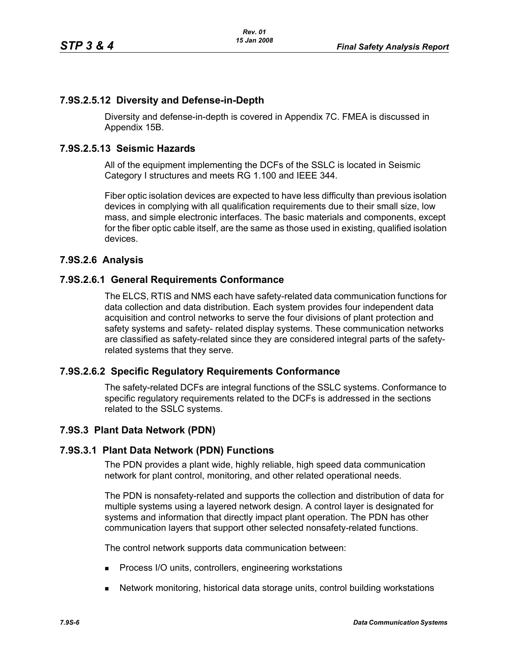## **7.9S.2.5.12 Diversity and Defense-in-Depth**

Diversity and defense-in-depth is covered in Appendix 7C. FMEA is discussed in Appendix 15B.

#### **7.9S.2.5.13 Seismic Hazards**

All of the equipment implementing the DCFs of the SSLC is located in Seismic Category I structures and meets RG 1.100 and IEEE 344.

Fiber optic isolation devices are expected to have less difficulty than previous isolation devices in complying with all qualification requirements due to their small size, low mass, and simple electronic interfaces. The basic materials and components, except for the fiber optic cable itself, are the same as those used in existing, qualified isolation devices.

## **7.9S.2.6 Analysis**

## **7.9S.2.6.1 General Requirements Conformance**

The ELCS, RTIS and NMS each have safety-related data communication functions for data collection and data distribution. Each system provides four independent data acquisition and control networks to serve the four divisions of plant protection and safety systems and safety- related display systems. These communication networks are classified as safety-related since they are considered integral parts of the safetyrelated systems that they serve.

#### **7.9S.2.6.2 Specific Regulatory Requirements Conformance**

The safety-related DCFs are integral functions of the SSLC systems. Conformance to specific regulatory requirements related to the DCFs is addressed in the sections related to the SSLC systems.

#### **7.9S.3 Plant Data Network (PDN)**

#### **7.9S.3.1 Plant Data Network (PDN) Functions**

The PDN provides a plant wide, highly reliable, high speed data communication network for plant control, monitoring, and other related operational needs.

The PDN is nonsafety-related and supports the collection and distribution of data for multiple systems using a layered network design. A control layer is designated for systems and information that directly impact plant operation. The PDN has other communication layers that support other selected nonsafety-related functions.

The control network supports data communication between:

- **Process I/O units, controllers, engineering workstations**
- Network monitoring, historical data storage units, control building workstations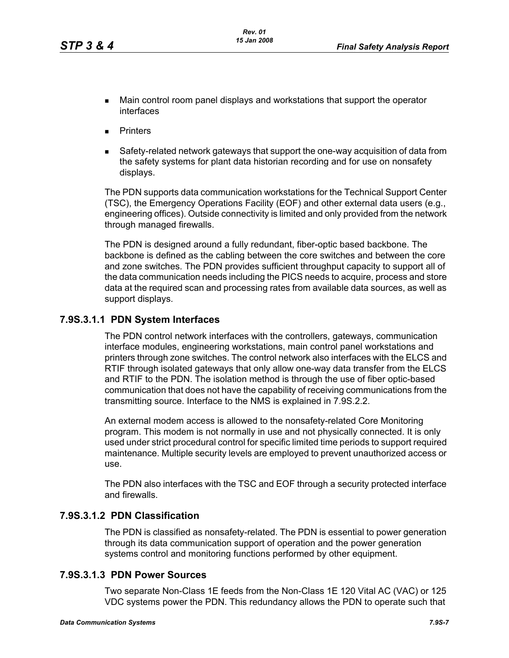- Main control room panel displays and workstations that support the operator interfaces
- **Printers**
- Safety-related network gateways that support the one-way acquisition of data from the safety systems for plant data historian recording and for use on nonsafety displays.

The PDN supports data communication workstations for the Technical Support Center (TSC), the Emergency Operations Facility (EOF) and other external data users (e.g., engineering offices). Outside connectivity is limited and only provided from the network through managed firewalls.

The PDN is designed around a fully redundant, fiber-optic based backbone. The backbone is defined as the cabling between the core switches and between the core and zone switches. The PDN provides sufficient throughput capacity to support all of the data communication needs including the PICS needs to acquire, process and store data at the required scan and processing rates from available data sources, as well as support displays.

## **7.9S.3.1.1 PDN System Interfaces**

The PDN control network interfaces with the controllers, gateways, communication interface modules, engineering workstations, main control panel workstations and printers through zone switches. The control network also interfaces with the ELCS and RTIF through isolated gateways that only allow one-way data transfer from the ELCS and RTIF to the PDN. The isolation method is through the use of fiber optic-based communication that does not have the capability of receiving communications from the transmitting source. Interface to the NMS is explained in 7.9S.2.2.

An external modem access is allowed to the nonsafety-related Core Monitoring program. This modem is not normally in use and not physically connected. It is only used under strict procedural control for specific limited time periods to support required maintenance. Multiple security levels are employed to prevent unauthorized access or use.

The PDN also interfaces with the TSC and EOF through a security protected interface and firewalls.

### **7.9S.3.1.2 PDN Classification**

The PDN is classified as nonsafety-related. The PDN is essential to power generation through its data communication support of operation and the power generation systems control and monitoring functions performed by other equipment.

#### **7.9S.3.1.3 PDN Power Sources**

Two separate Non-Class 1E feeds from the Non-Class 1E 120 Vital AC (VAC) or 125 VDC systems power the PDN. This redundancy allows the PDN to operate such that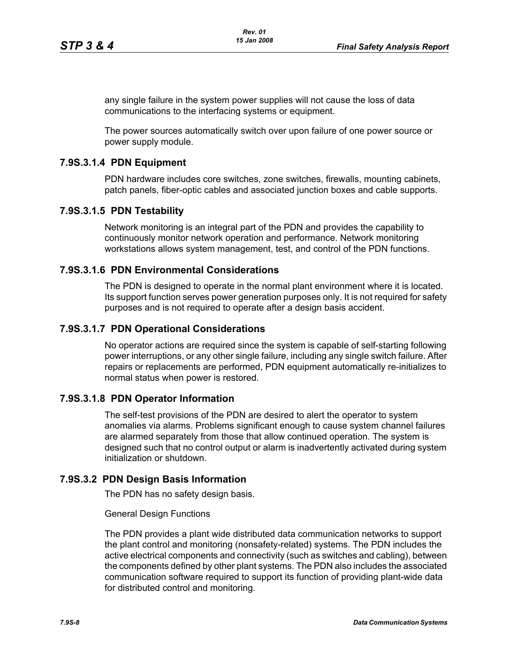any single failure in the system power supplies will not cause the loss of data communications to the interfacing systems or equipment.

The power sources automatically switch over upon failure of one power source or power supply module.

#### **7.9S.3.1.4 PDN Equipment**

PDN hardware includes core switches, zone switches, firewalls, mounting cabinets, patch panels, fiber-optic cables and associated junction boxes and cable supports.

#### **7.9S.3.1.5 PDN Testability**

Network monitoring is an integral part of the PDN and provides the capability to continuously monitor network operation and performance. Network monitoring workstations allows system management, test, and control of the PDN functions.

## **7.9S.3.1.6 PDN Environmental Considerations**

The PDN is designed to operate in the normal plant environment where it is located. Its support function serves power generation purposes only. It is not required for safety purposes and is not required to operate after a design basis accident.

#### **7.9S.3.1.7 PDN Operational Considerations**

No operator actions are required since the system is capable of self-starting following power interruptions, or any other single failure, including any single switch failure. After repairs or replacements are performed, PDN equipment automatically re-initializes to normal status when power is restored.

#### **7.9S.3.1.8 PDN Operator Information**

The self-test provisions of the PDN are desired to alert the operator to system anomalies via alarms. Problems significant enough to cause system channel failures are alarmed separately from those that allow continued operation. The system is designed such that no control output or alarm is inadvertently activated during system initialization or shutdown.

#### **7.9S.3.2 PDN Design Basis Information**

The PDN has no safety design basis.

General Design Functions

The PDN provides a plant wide distributed data communication networks to support the plant control and monitoring (nonsafety-related) systems. The PDN includes the active electrical components and connectivity (such as switches and cabling), between the components defined by other plant systems. The PDN also includes the associated communication software required to support its function of providing plant-wide data for distributed control and monitoring.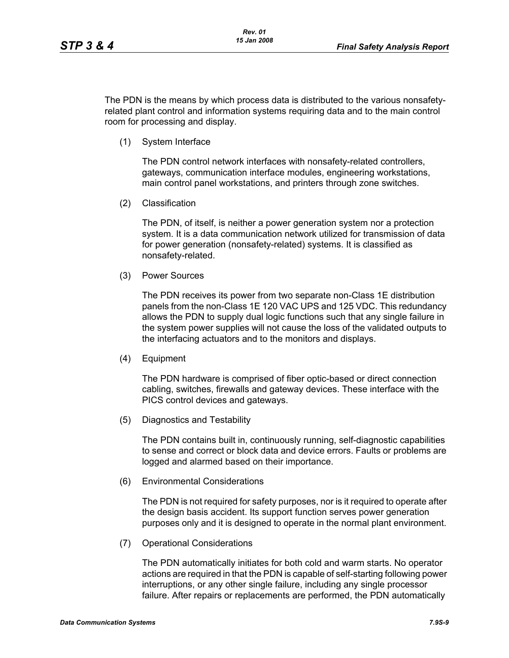The PDN is the means by which process data is distributed to the various nonsafetyrelated plant control and information systems requiring data and to the main control room for processing and display.

(1) System Interface

The PDN control network interfaces with nonsafety-related controllers, gateways, communication interface modules, engineering workstations, main control panel workstations, and printers through zone switches.

(2) Classification

The PDN, of itself, is neither a power generation system nor a protection system. It is a data communication network utilized for transmission of data for power generation (nonsafety-related) systems. It is classified as nonsafety-related.

(3) Power Sources

The PDN receives its power from two separate non-Class 1E distribution panels from the non-Class 1E 120 VAC UPS and 125 VDC. This redundancy allows the PDN to supply dual logic functions such that any single failure in the system power supplies will not cause the loss of the validated outputs to the interfacing actuators and to the monitors and displays.

(4) Equipment

The PDN hardware is comprised of fiber optic-based or direct connection cabling, switches, firewalls and gateway devices. These interface with the PICS control devices and gateways.

(5) Diagnostics and Testability

The PDN contains built in, continuously running, self-diagnostic capabilities to sense and correct or block data and device errors. Faults or problems are logged and alarmed based on their importance.

(6) Environmental Considerations

The PDN is not required for safety purposes, nor is it required to operate after the design basis accident. Its support function serves power generation purposes only and it is designed to operate in the normal plant environment.

(7) Operational Considerations

The PDN automatically initiates for both cold and warm starts. No operator actions are required in that the PDN is capable of self-starting following power interruptions, or any other single failure, including any single processor failure. After repairs or replacements are performed, the PDN automatically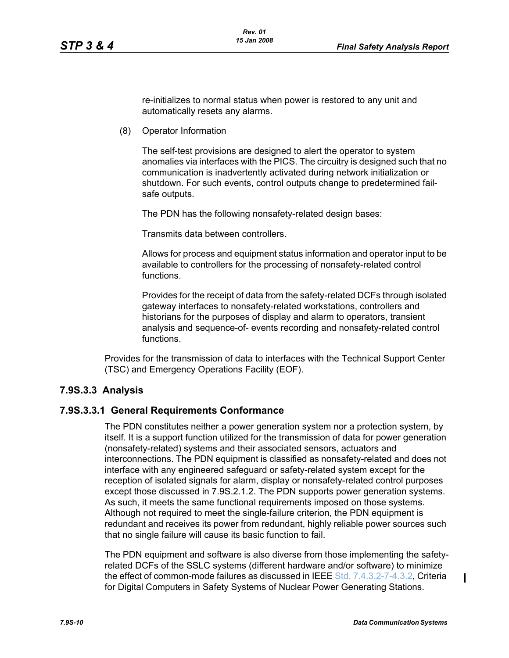re-initializes to normal status when power is restored to any unit and automatically resets any alarms.

(8) Operator Information

The self-test provisions are designed to alert the operator to system anomalies via interfaces with the PICS. The circuitry is designed such that no communication is inadvertently activated during network initialization or shutdown. For such events, control outputs change to predetermined failsafe outputs.

The PDN has the following nonsafety-related design bases:

Transmits data between controllers.

Allows for process and equipment status information and operator input to be available to controllers for the processing of nonsafety-related control functions.

Provides for the receipt of data from the safety-related DCFs through isolated gateway interfaces to nonsafety-related workstations, controllers and historians for the purposes of display and alarm to operators, transient analysis and sequence-of- events recording and nonsafety-related control functions.

Provides for the transmission of data to interfaces with the Technical Support Center (TSC) and Emergency Operations Facility (EOF).

#### **7.9S.3.3 Analysis**

#### **7.9S.3.3.1 General Requirements Conformance**

The PDN constitutes neither a power generation system nor a protection system, by itself. It is a support function utilized for the transmission of data for power generation (nonsafety-related) systems and their associated sensors, actuators and interconnections. The PDN equipment is classified as nonsafety-related and does not interface with any engineered safeguard or safety-related system except for the reception of isolated signals for alarm, display or nonsafety-related control purposes except those discussed in 7.9S.2.1.2. The PDN supports power generation systems. As such, it meets the same functional requirements imposed on those systems. Although not required to meet the single-failure criterion, the PDN equipment is redundant and receives its power from redundant, highly reliable power sources such that no single failure will cause its basic function to fail.

The PDN equipment and software is also diverse from those implementing the safetyrelated DCFs of the SSLC systems (different hardware and/or software) to minimize the effect of common-mode failures as discussed in IEEE Std. 7.4.3.2-7-4.3.2, Criteria for Digital Computers in Safety Systems of Nuclear Power Generating Stations.

 $\mathbf I$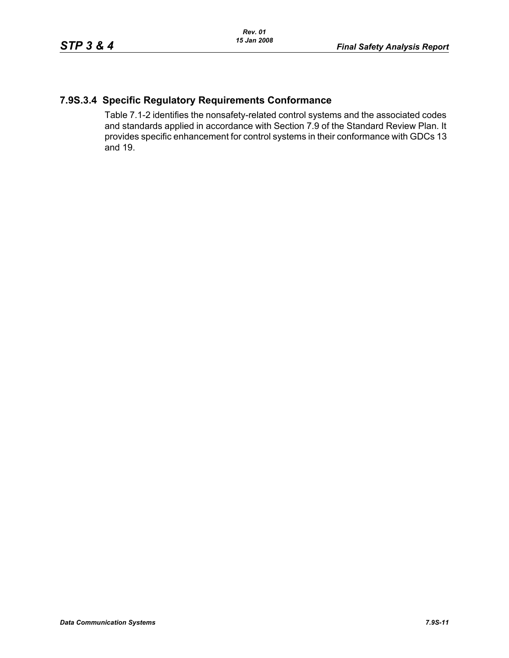## **7.9S.3.4 Specific Regulatory Requirements Conformance**

Table 7.1-2 identifies the nonsafety-related control systems and the associated codes and standards applied in accordance with Section 7.9 of the Standard Review Plan. It provides specific enhancement for control systems in their conformance with GDCs 13 and 19.